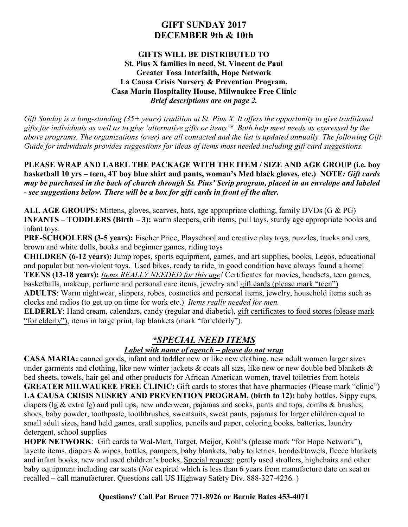## **GIFT SUNDAY 2017 DECEMBER 9th & 10th**

#### **GIFTS WILL BE DISTRIBUTED TO St. Pius X families in need, St. Vincent de Paul Greater Tosa Interfaith, Hope Network La Causa Crisis Nursery & Prevention Program, Casa Maria Hospitality House, Milwaukee Free Clinic** *Brief descriptions are on page 2.*

*Gift Sunday is a long-standing (35+ years) tradition at St. Pius X. It offers the opportunity to give traditional gifts for individuals as well as to give 'alternative gifts or items'\*. Both help meet needs as expressed by the above programs. The organizations (over) are all contacted and the list is updated annually. The following Gift Guide for individuals provides suggestions for ideas of items most needed including gift card suggestions.* 

**PLEASE WRAP AND LABEL THE PACKAGE WITH THE ITEM / SIZE AND AGE GROUP (i.e. boy basketball 10 yrs – teen, 4T boy blue shirt and pants, woman's Med black gloves, etc.) NOTE***: Gift cards may be purchased in the back of church through St. Pius' Scrip program, placed in an envelope and labeled - see suggestions below. There will be a box for gift cards in front of the alter.* 

**ALL AGE GROUPS:** Mittens, gloves, scarves, hats, age appropriate clothing, family DVDs (G & PG) **INFANTS – TODDLERS (Birth – 3):** warm sleepers, crib items, pull toys, sturdy age appropriate books and infant toys.

**PRE-SCHOOLERS (3-5 years):** Fischer Price, Playschool and creative play toys, puzzles, trucks and cars, brown and white dolls, books and beginner games, riding toys

**CHILDREN (6-12 years):** Jump ropes, sports equipment, games, and art supplies, books, Legos, educational and popular but non-violent toys. Used bikes, ready to ride, in good condition have always found a home! **TEENS (13-18 years):** *Items REALLY NEEDED for this age!* Certificates for movies, headsets, teen games, basketballs, makeup, perfume and personal care items, jewelry and gift cards (please mark "teen")

**ADULTS**: Warm nightwear, slippers, robes, cosmetics and personal items, jewelry, household items such as clocks and radios (to get up on time for work etc.) *Items really needed for men.*

**ELDERLY**: Hand cream, calendars, candy (regular and diabetic), gift certificates to food stores (please mark "for elderly"), items in large print, lap blankets (mark "for elderly").

# *\*SPECIAL NEED ITEMS*

### *Label with name of agench – please do not wrap*

**CASA MARIA:** canned goods, infant and toddler new or like new clothing, new adult women larger sizes under garments and clothing, like new winter jackets  $\&$  coats all sizs, like new or new double bed blankets  $\&$ bed sheets, towels, hair gel and other products for African American women, travel toiletries from hotels **GREATER MILWAUKEE FREE CLINIC:** Gift cards to stores that have pharmacies (Please mark "clinic") LA CAUSA CRISIS NUSERY AND PREVENTION PROGRAM, (birth to 12): baby bottles, Sippy cups, diapers (lg & extra lg) and pull ups, new underwear, pajamas and socks, pants and tops, combs & brushes, shoes, baby powder, toothpaste, toothbrushes, sweatsuits, sweat pants, pajamas for larger children equal to small adult sizes, hand held games, craft supplies, pencils and paper, coloring books, batteries, laundry detergent, school supplies

**HOPE NETWORK**: Gift cards to Wal-Mart, Target, Meijer, Kohl's (please mark "for Hope Network"), layette items, diapers & wipes, bottles, pampers, baby blankets, baby toiletries, hooded/towels, fleece blankets and infant books, new and used children's books, Special request: gently used strollers, highchairs and other baby equipment including car seats (*Not* expired which is less than 6 years from manufacture date on seat or recalled – call manufacturer. Questions call US Highway Safety Div. 888-327-4236. )